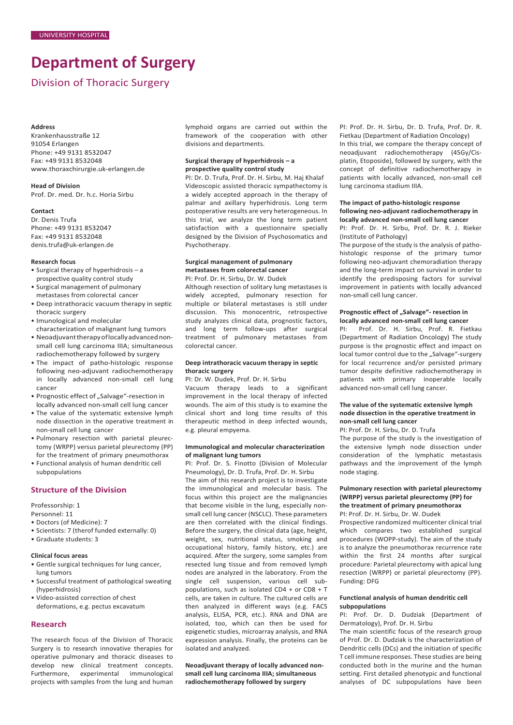# **Department of Surgery**

Division of Thoracic Surgery

#### **Address**

Krankenhausstraße 12 91054 Erlangen Phone: +49 9131 8532047 Fax: +49 9131 8532048 [www.thoraxchirurgie.uk-erlangen.de](http://www.thoraxchirurgie.uk-erlangen.de/)

**Head of Division** Prof. Dr. med. Dr. h.c. Horia Sirbu

#### **Contact**

Dr. Denis Trufa Phone: +49 9131 8532047 Fax: +49 9131 8532048 denis.truf[a@uk-erlangen.de](mailto:.schreiner@uk-erlangen.de)

#### **Research focus**

- Surgical therapy of hyperhidrosis a prospective quality control study
- Surgical management of pulmonary metastases from colorectal cancer
- Deep intrathoracic vacuum therapy in septic thoracic surgery
- Imunological and molecular
- characterization of malignant lung tumors • Neoadjuvanttherapyoflocallyadvancednonsmall cell lung carcinoma IIIA; simultaneous radiochemotherapy followed by surgery
- The impact of patho-histologic response following neo-adjuvant radiochemotherapy in locally advanced non-small cell lung cancer
- Prognostic effect of "Salvage"-resection in locally advanced non-small cell lung cancer
- The value of the systematic extensive lymph node dissection in the operative treatment in non-small cell lung cancer
- Pulmonary resection with parietal pleurectomy (WRPP) versus parietal pleurectomy (PP) for the treatment of primary pneumothorax
- Functional analysis of human dendritic cell subpopulations

# **Structure of the Division**

Professorship: 1

- Personnel: 11
- Doctors (of Medicine): 7
- Scientists: 7 (therof funded externally: 0)
- Graduate students: 3

# **Clinical focus areas**

- Gentle surgical techniques for lung cancer, lung tumors
- Successful treatment of pathological sweating (hyperhidrosis)
- Video-assisted correction of chest
- deformations, e.g. pectus excavatum

# **Research**

The research focus of the Division of Thoracic Surgery is to research innovative therapies for operative pulmonary and thoracic diseases to develop new clinical treatment concepts. Furthermore, experimental immunological projects with samples from the lung and human lymphoid organs are carried out within the framework of the cooperation with other divisions and departments.

#### **Surgical therapy of hyperhidrosis – a prospective quality control study**

PI: Dr. D. Trufa, Prof. Dr. H. Sirbu, M. Haj Khalaf Videoscopic assisted thoracic sympathectomy is a widely accepted approach in the therapy of palmar and axillary hyperhidrosis. Long term postoperative results are very heterogeneous. In this trial, we analyze the long term patient satisfaction with a questionnaire specially designed by the Division of Psychosomatics and Psychotherapy.

# **Surgical management of pulmonary metastases from colorectal cancer**

PI: Prof. Dr. H. Sirbu, Dr. W. Dudek

Although resection of solitary lung metastases is widely accepted, pulmonary resection for multiple or bilateral metastases is still under discussion. This monocentric, retrospective study analyzes clinical data, prognostic factors, and long term follow-ups after surgical treatment of pulmonary metastases from colorectal cancer.

#### **Deep intrathoracic vacuum therapy in septic thoracic surgery**

PI: Dr. W. Dudek, Prof. Dr. H. Sirbu

Vacuum therapy leads to a significant improvement in the local therapy of infected wounds. The aim of this study is to examine the clinical short and long time results of this therapeutic method in deep infected wounds, e.g. pleural empyema.

#### **Immunological and molecular characterization of malignant lung tumors**

PI: Prof. Dr. S. Finotto (Division of Molecular Pneumology), Dr. D. Trufa, Prof. Dr. H. Sirbu

The aim of this research project is to investigate the immunological and molecular basis. The focus within this project are the malignancies that become visible in the lung, especially nonsmall cell lung cancer (NSCLC). These parameters are then correlated with the clinical findings. Before the surgery, the clinical data (age, height, weight, sex, nutritional status, smoking and occupational history, family history, etc.) are acquired. After the surgery, some samples from resected lung tissue and from removed lymph nodes are analyzed in the laboratory. From the single cell suspension, various cell subpopulations, such as isolated CD4 + or CD8 + T cells, are taken in culture. The cultured cells are then analyzed in different ways (e.g. FACS analysis, ELISA, PCR, etc.). RNA and DNA are isolated, too, which can then be used for epigenetic studies, microarray analysis, and RNA expression analysis. Finally, the proteins can be isolated and analyzed.

**Neoadjuvant therapy of locally advanced nonsmall cell lung carcinoma IIIA; simultaneous radiochemotherapy followed by surgery**

PI: Prof. Dr. H. Sirbu, Dr. D. Trufa, Prof. Dr. R. Fietkau (Department of Radiation Oncology) In this trial, we compare the therapy concept of

neoadjuvant radiochemotherapy (45Gy/Cisplatin, Etoposide), followed by surgery, with the concept of definitive radiochemotherapy in patients with locally advanced, non-small cell lung carcinoma stadium IIIA.

# **The impact of patho-histologic response following neo-adjuvant radiochemotherapy in locally advanced non-small cell lung cancer**

PI: Prof. Dr. H. Sirbu, Prof. Dr. R. J. Rieker (Institute of Pathology)

The purpose of the study is the analysis of pathohistologic response of the primary tumor following neo-adjuvant chemoradiation therapy and the long-term impact on survival in order to identify the predisposing factors for survival improvement in patients with locally advanced non-small cell lung cancer.

# **Prognostic effect of "Salvage"- resection in**

**locally advanced non-small cell lung cancer** Prof. Dr. H. Sirbu, Prof. R. Fietkau (Department of Radiation Oncology) The study purpose is the prognostic effect and impact on local tumor control due to the "Salvage"-surgery for local recurrence and/or persisted primary tumor despite definitive radiochemotherapy in patients with primary inoperable locally advanced non-small cell lung cancer.

#### **The value of the systematic extensive lymph node dissection in the operative treatment in non-small cell lung cancer**

PI: Prof. Dr. H. Sirbu, Dr. D. Trufa

The purpose of the study is the investigation of the extensive lymph node dissection under consideration of the lymphatic metastasis pathways and the improvement of the lymph node staging.

#### **Pulmonary resection with parietal pleurectomy (WRPP) versus parietal pleurectomy (PP) for the treatment of primary pneumothorax** PI: Prof. Dr. H. Sirbu, Dr. W. Dudek

Prospective randomized multicenter clinical trial which compares two established surgical procedures (WOPP-study). The aim of the study is to analyze the pneumothorax recurrence rate within the first 24 months after surgical procedure: Parietal pleurectomy with apical lung resection (WRPP) or parietal pleurectomy (PP). Funding: DFG

# **Functional analysis of human dendritic cell subpopulations**

PI: Prof. Dr. D. Dudziak (Department of Dermatology), Prof. Dr. H. Sirbu

The main scientific focus of the research group of Prof. Dr. D. Dudziak is the characterization of Dendritic cells (DCs) and the initiation of specific T cell immune responses. These studies are being conducted both in the murine and the human setting. First detailed phenotypic and functional analyses of DC subpopulations have been